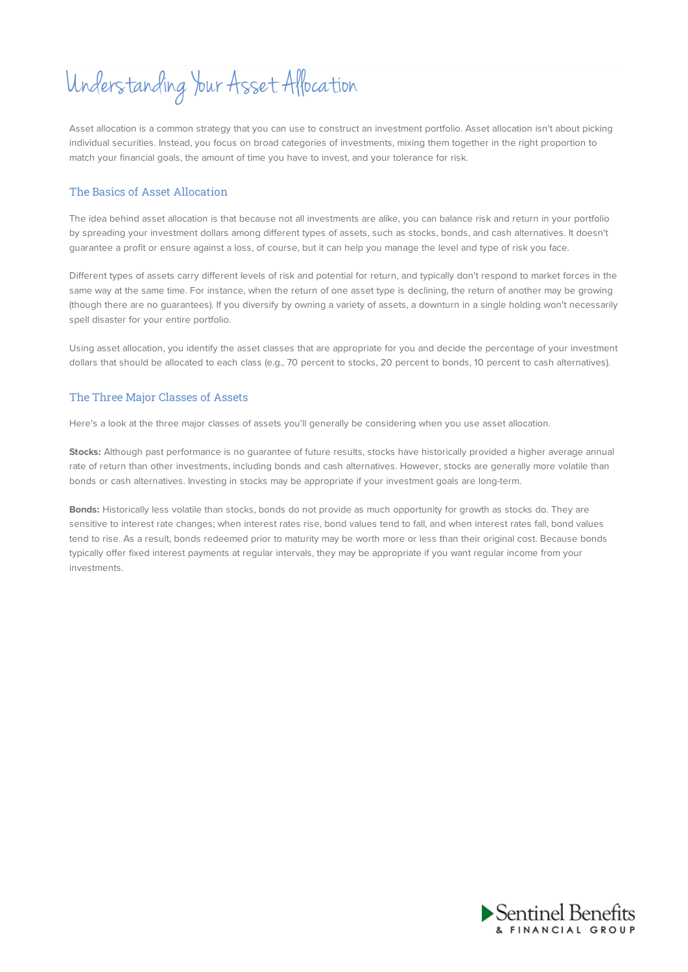Understanding Your Asset Allocation

Asset allocation is a common strategy that you can use to construct an investment portfolio. Asset allocation isn't about picking individual securities. Instead, you focus on broad categories of investments, mixing them together in the right proportion to match your financial goals, the amount of time you have to invest, and your tolerance for risk.

### The Basics of Asset Allocation

The idea behind asset allocation is that because not all investments are alike, you can balance risk and return in your portfolio by spreading your investment dollars among different types of assets, such as stocks, bonds, and cash alternatives. It doesn't guarantee a profit or ensure against a loss, of course, but it can help you manage the level and type of risk you face.

Different types of assets carry different levels of risk and potential for return, and typically don't respond to market forces in the same way at the same time. For instance, when the return of one asset type is declining, the return of another may be growing (though there are no guarantees). If you diversify by owning a variety of assets, a downturn in a single holding won't necessarily spell disaster for your entire portfolio.

Using asset allocation, you identify the asset classes that are appropriate for you and decide the percentage of your investment dollars that should be allocated to each class (e.g., 70 percent to stocks, 20 percent to bonds, 10 percent to cash alternatives).

## The Three Major Classes of Assets

Here's a look at the three major classes of assets you'll generally be considering when you use asset allocation.

**Stocks:** Although past performance is no guarantee of future results, stocks have historically provided a higher average annual rate of return than other investments, including bonds and cash alternatives. However, stocks are generally more volatile than bonds or cash alternatives. Investing in stocks may be appropriate if your investment goals are long-term.

**Bonds:** Historically less volatile than stocks, bonds do not provide as much opportunity for growth as stocks do. They are sensitive to interest rate changes; when interest rates rise, bond values tend to fall, and when interest rates fall, bond values tend to rise. As a result, bonds redeemed prior to maturity may be worth more or less than their original cost. Because bonds typically offer fixed interest payments at regular intervals, they may be appropriate if you want regular income from your investments.

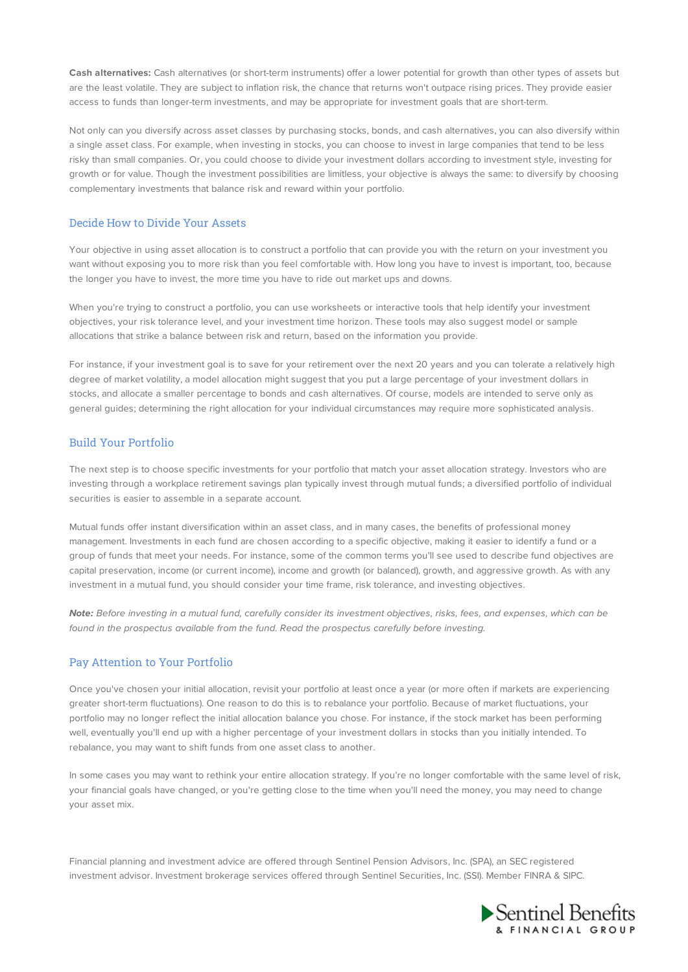**Cash alternatives:** Cash alternatives (or short-term instruments) offer a lower potential for growth than other types of assets but are the least volatile. They are subject to inflation risk, the chance that returns won't outpace rising prices. They provide easier access to funds than longer-term investments, and may be appropriate for investment goals that are short-term.

Not only can you diversify across asset classes by purchasing stocks, bonds, and cash alternatives, you can also diversify within a single asset class. For example, when investing in stocks, you can choose to invest in large companies that tend to be less risky than small companies. Or, you could choose to divide your investment dollars according to investment style, investing for growth or for value. Though the investment possibilities are limitless, your objective is always the same: to diversify by choosing complementary investments that balance risk and reward within your portfolio.

#### Decide How to Divide Your Assets

Your objective in using asset allocation is to construct a portfolio that can provide you with the return on your investment you want without exposing you to more risk than you feel comfortable with. How long you have to invest is important, too, because the longer you have to invest, the more time you have to ride out market ups and downs.

When you're trying to construct a portfolio, you can use worksheets or interactive tools that help identify your investment objectives, your risk tolerance level, and your investment time horizon. These tools may also suggest model or sample allocations that strike a balance between risk and return, based on the information you provide.

For instance, if your investment goal is to save for your retirement over the next 20 years and you can tolerate a relatively high degree of market volatility, a model allocation might suggest that you put a large percentage of your investment dollars in stocks, and allocate a smaller percentage to bonds and cash alternatives. Of course, models are intended to serve only as general guides; determining the right allocation for your individual circumstances may require more sophisticated analysis.

### Build Your Portfolio

The next step is to choose specific investments for your portfolio that match your asset allocation strategy. Investors who are investing through a workplace retirement savings plan typically invest through mutual funds; a diversified portfolio of individual securities is easier to assemble in a separate account.

Mutual funds offer instant diversification within an asset class, and in many cases, the benefits of professional money management. Investments in each fund are chosen according to a specific objective, making it easier to identify a fund or a group of funds that meet your needs. For instance, some of the common terms you'll see used to describe fund objectives are capital preservation, income (or current income), income and growth (or balanced), growth, and aggressive growth. As with any investment in a mutual fund, you should consider your time frame, risk tolerance, and investing objectives.

**Note:** Before investing in a mutual fund, carefully consider its investment objectives, risks, fees, and expenses, which can be found in the prospectus available from the fund. Read the prospectus carefully before investing.

# Pay Attention to Your Portfolio

Once you've chosen your initial allocation, revisit your portfolio at least once a year (or more often if markets are experiencing greater short-term fluctuations). One reason to do this is to rebalance your portfolio. Because of market fluctuations, your portfolio may no longer reflect the initial allocation balance you chose. For instance, if the stock market has been performing well, eventually you'll end up with a higher percentage of your investment dollars in stocks than you initially intended. To rebalance, you may want to shift funds from one asset class to another.

In some cases you may want to rethink your entire allocation strategy. If you're no longer comfortable with the same level of risk, your financial goals have changed, or you're getting close to the time when you'll need the money, you may need to change your asset mix.

Financial planning and investment advice are offered through Sentinel Pension Advisors, Inc. (SPA), an SEC registered investment advisor. Investment brokerage services offered through Sentinel Securities, Inc. (SSI). Member FINRA & SIPC.